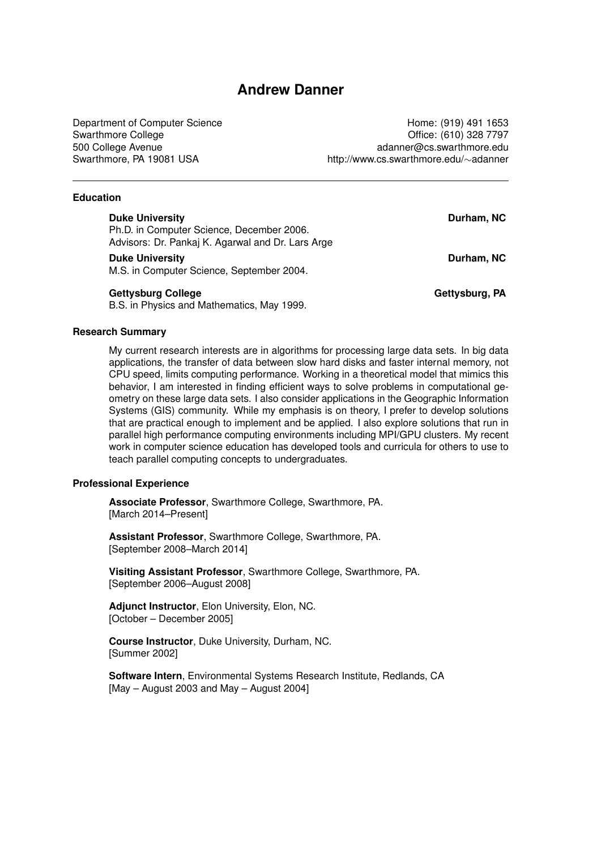# **Andrew Danner**

Department of Computer Science **Home: (919)** 491 1653 Swarthmore College **Office: (610)** 328 7797 500 College Avenue adanner@cs.swarthmore.edu Swarthmore, PA 19081 USA http://www.cs.swarthmore.edu/∼adanner

## **Education**

| Duke University |  |  |  |
|-----------------|--|--|--|
|                 |  |  |  |
|                 |  |  |  |
|                 |  |  |  |

Ph.D. in Computer Science, December 2006. Advisors: Dr. Pankaj K. Agarwal and Dr. Lars Arge

#### **Duke University Contract Contract Contract Contract Contract Contract Contract Contract Contract Contract Contract Contract Contract Contract Contract Contract Contract Contract Contract Contract Contract Contract Contrac**

M.S. in Computer Science, September 2004.

## **Gettysburg College Gettysburg, PA**

B.S. in Physics and Mathematics, May 1999.

## **Research Summary**

My current research interests are in algorithms for processing large data sets. In big data applications, the transfer of data between slow hard disks and faster internal memory, not CPU speed, limits computing performance. Working in a theoretical model that mimics this behavior, I am interested in finding efficient ways to solve problems in computational geometry on these large data sets. I also consider applications in the Geographic Information Systems (GIS) community. While my emphasis is on theory, I prefer to develop solutions that are practical enough to implement and be applied. I also explore solutions that run in parallel high performance computing environments including MPI/GPU clusters. My recent work in computer science education has developed tools and curricula for others to use to teach parallel computing concepts to undergraduates.

## **Professional Experience**

**Associate Professor**, Swarthmore College, Swarthmore, PA. [March 2014–Present]

**Assistant Professor**, Swarthmore College, Swarthmore, PA. [September 2008–March 2014]

**Visiting Assistant Professor**, Swarthmore College, Swarthmore, PA. [September 2006–August 2008]

**Adjunct Instructor**, Elon University, Elon, NC. [October – December 2005]

**Course Instructor**, Duke University, Durham, NC. [Summer 2002]

**Software Intern**, Environmental Systems Research Institute, Redlands, CA [May – August 2003 and May – August 2004]

**Durham, NC**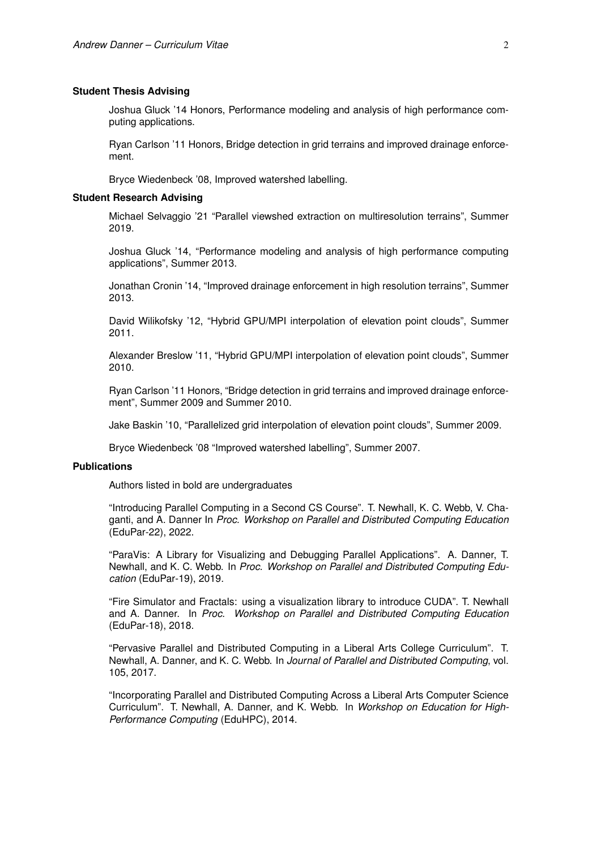#### **Student Thesis Advising**

Joshua Gluck '14 Honors, Performance modeling and analysis of high performance computing applications.

Ryan Carlson '11 Honors, Bridge detection in grid terrains and improved drainage enforcement.

Bryce Wiedenbeck '08, Improved watershed labelling.

#### **Student Research Advising**

Michael Selvaggio '21 "Parallel viewshed extraction on multiresolution terrains", Summer 2019.

Joshua Gluck '14, "Performance modeling and analysis of high performance computing applications", Summer 2013.

Jonathan Cronin '14, "Improved drainage enforcement in high resolution terrains", Summer 2013.

David Wilikofsky '12, "Hybrid GPU/MPI interpolation of elevation point clouds", Summer 2011.

Alexander Breslow '11, "Hybrid GPU/MPI interpolation of elevation point clouds", Summer 2010.

Ryan Carlson '11 Honors, "Bridge detection in grid terrains and improved drainage enforcement", Summer 2009 and Summer 2010.

Jake Baskin '10, "Parallelized grid interpolation of elevation point clouds", Summer 2009.

Bryce Wiedenbeck '08 "Improved watershed labelling", Summer 2007.

#### **Publications**

Authors listed in bold are undergraduates

"Introducing Parallel Computing in a Second CS Course". T. Newhall, K. C. Webb, V. Chaganti, and A. Danner In *Proc. Workshop on Parallel and Distributed Computing Education* (EduPar-22), 2022.

"ParaVis: A Library for Visualizing and Debugging Parallel Applications". A. Danner, T. Newhall, and K. C. Webb. In *Proc. Workshop on Parallel and Distributed Computing Education* (EduPar-19), 2019.

"Fire Simulator and Fractals: using a visualization library to introduce CUDA". T. Newhall and A. Danner. In *Proc. Workshop on Parallel and Distributed Computing Education* (EduPar-18), 2018.

"Pervasive Parallel and Distributed Computing in a Liberal Arts College Curriculum". T. Newhall, A. Danner, and K. C. Webb. In *Journal of Parallel and Distributed Computing*, vol. 105, 2017.

"Incorporating Parallel and Distributed Computing Across a Liberal Arts Computer Science Curriculum". T. Newhall, A. Danner, and K. Webb. In *Workshop on Education for High-Performance Computing* (EduHPC), 2014.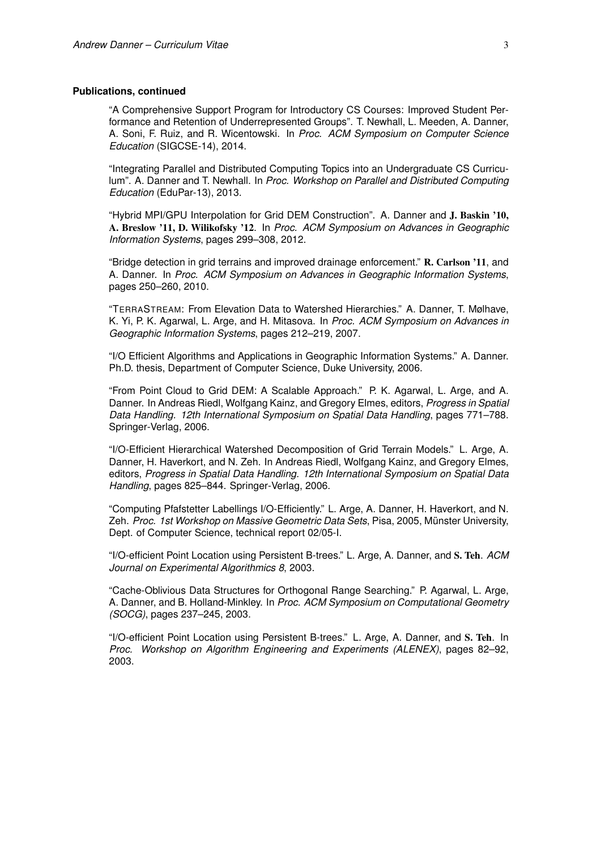#### **Publications, continued**

"A Comprehensive Support Program for Introductory CS Courses: Improved Student Performance and Retention of Underrepresented Groups". T. Newhall, L. Meeden, A. Danner, A. Soni, F. Ruiz, and R. Wicentowski. In *Proc. ACM Symposium on Computer Science Education* (SIGCSE-14), 2014.

"Integrating Parallel and Distributed Computing Topics into an Undergraduate CS Curriculum". A. Danner and T. Newhall. In *Proc. Workshop on Parallel and Distributed Computing Education* (EduPar-13), 2013.

"Hybrid MPI/GPU Interpolation for Grid DEM Construction". A. Danner and J. Baskin '10, A. Breslow '11, D. Wilikofsky '12. In *Proc. ACM Symposium on Advances in Geographic Information Systems*, pages 299–308, 2012.

"Bridge detection in grid terrains and improved drainage enforcement." R. Carlson '11, and A. Danner. In *Proc. ACM Symposium on Advances in Geographic Information Systems*, pages 250–260, 2010.

"TERRASTREAM: From Elevation Data to Watershed Hierarchies." A. Danner, T. Mølhave, K. Yi, P. K. Agarwal, L. Arge, and H. Mitasova. In *Proc. ACM Symposium on Advances in Geographic Information Systems*, pages 212–219, 2007.

"I/O Efficient Algorithms and Applications in Geographic Information Systems." A. Danner. Ph.D. thesis, Department of Computer Science, Duke University, 2006.

"From Point Cloud to Grid DEM: A Scalable Approach." P. K. Agarwal, L. Arge, and A. Danner. In Andreas Riedl, Wolfgang Kainz, and Gregory Elmes, editors, *Progress in Spatial Data Handling. 12th International Symposium on Spatial Data Handling*, pages 771–788. Springer-Verlag, 2006.

"I/O-Efficient Hierarchical Watershed Decomposition of Grid Terrain Models." L. Arge, A. Danner, H. Haverkort, and N. Zeh. In Andreas Riedl, Wolfgang Kainz, and Gregory Elmes, editors, *Progress in Spatial Data Handling. 12th International Symposium on Spatial Data Handling*, pages 825–844. Springer-Verlag, 2006.

"Computing Pfafstetter Labellings I/O-Efficiently." L. Arge, A. Danner, H. Haverkort, and N. Zeh. *Proc. 1st Workshop on Massive Geometric Data Sets*, Pisa, 2005, Münster University, Dept. of Computer Science, technical report 02/05-I.

"I/O-efficient Point Location using Persistent B-trees." L. Arge, A. Danner, and S. Teh. *ACM Journal on Experimental Algorithmics 8*, 2003.

"Cache-Oblivious Data Structures for Orthogonal Range Searching." P. Agarwal, L. Arge, A. Danner, and B. Holland-Minkley. In *Proc. ACM Symposium on Computational Geometry (SOCG)*, pages 237–245, 2003.

"I/O-efficient Point Location using Persistent B-trees." L. Arge, A. Danner, and S. Teh. In *Proc. Workshop on Algorithm Engineering and Experiments (ALENEX)*, pages 82–92, 2003.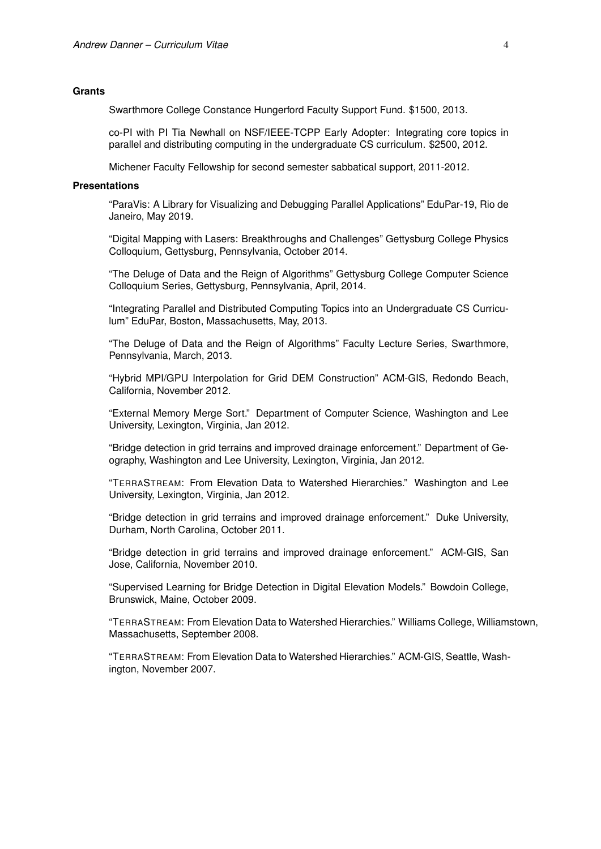### **Grants**

Swarthmore College Constance Hungerford Faculty Support Fund. \$1500, 2013.

co-PI with PI Tia Newhall on NSF/IEEE-TCPP Early Adopter: Integrating core topics in parallel and distributing computing in the undergraduate CS curriculum. \$2500, 2012.

Michener Faculty Fellowship for second semester sabbatical support, 2011-2012.

### **Presentations**

"ParaVis: A Library for Visualizing and Debugging Parallel Applications" EduPar-19, Rio de Janeiro, May 2019.

"Digital Mapping with Lasers: Breakthroughs and Challenges" Gettysburg College Physics Colloquium, Gettysburg, Pennsylvania, October 2014.

"The Deluge of Data and the Reign of Algorithms" Gettysburg College Computer Science Colloquium Series, Gettysburg, Pennsylvania, April, 2014.

"Integrating Parallel and Distributed Computing Topics into an Undergraduate CS Curriculum" EduPar, Boston, Massachusetts, May, 2013.

"The Deluge of Data and the Reign of Algorithms" Faculty Lecture Series, Swarthmore, Pennsylvania, March, 2013.

"Hybrid MPI/GPU Interpolation for Grid DEM Construction" ACM-GIS, Redondo Beach, California, November 2012.

"External Memory Merge Sort." Department of Computer Science, Washington and Lee University, Lexington, Virginia, Jan 2012.

"Bridge detection in grid terrains and improved drainage enforcement." Department of Geography, Washington and Lee University, Lexington, Virginia, Jan 2012.

"TERRASTREAM: From Elevation Data to Watershed Hierarchies." Washington and Lee University, Lexington, Virginia, Jan 2012.

"Bridge detection in grid terrains and improved drainage enforcement." Duke University, Durham, North Carolina, October 2011.

"Bridge detection in grid terrains and improved drainage enforcement." ACM-GIS, San Jose, California, November 2010.

"Supervised Learning for Bridge Detection in Digital Elevation Models." Bowdoin College, Brunswick, Maine, October 2009.

"TERRASTREAM: From Elevation Data to Watershed Hierarchies." Williams College, Williamstown, Massachusetts, September 2008.

"TERRASTREAM: From Elevation Data to Watershed Hierarchies." ACM-GIS, Seattle, Washington, November 2007.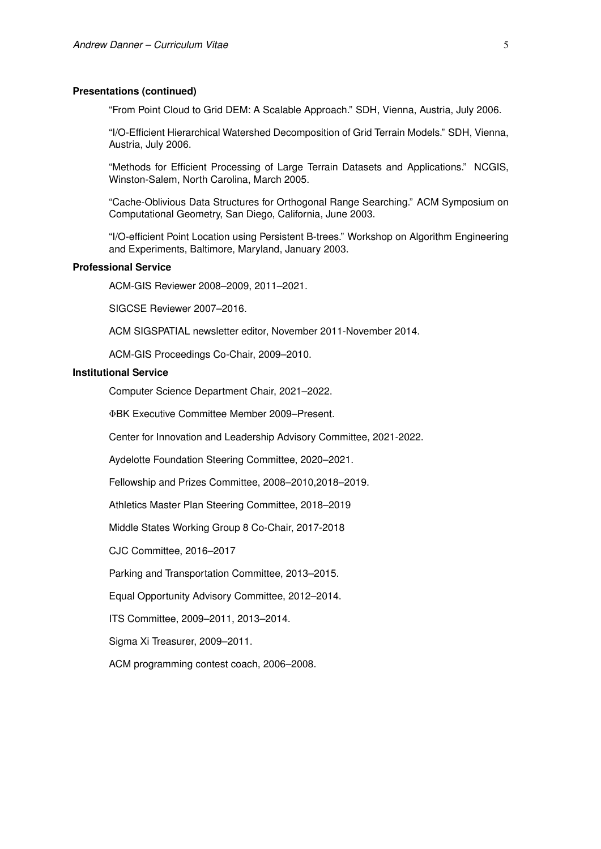## **Presentations (continued)**

"From Point Cloud to Grid DEM: A Scalable Approach." SDH, Vienna, Austria, July 2006.

"I/O-Efficient Hierarchical Watershed Decomposition of Grid Terrain Models." SDH, Vienna, Austria, July 2006.

"Methods for Efficient Processing of Large Terrain Datasets and Applications." NCGIS, Winston-Salem, North Carolina, March 2005.

"Cache-Oblivious Data Structures for Orthogonal Range Searching." ACM Symposium on Computational Geometry, San Diego, California, June 2003.

"I/O-efficient Point Location using Persistent B-trees." Workshop on Algorithm Engineering and Experiments, Baltimore, Maryland, January 2003.

## **Professional Service**

ACM-GIS Reviewer 2008–2009, 2011–2021.

SIGCSE Reviewer 2007–2016.

ACM SIGSPATIAL newsletter editor, November 2011-November 2014.

ACM-GIS Proceedings Co-Chair, 2009–2010.

# **Institutional Service**

Computer Science Department Chair, 2021–2022.

ΦBK Executive Committee Member 2009–Present.

Center for Innovation and Leadership Advisory Committee, 2021-2022.

Aydelotte Foundation Steering Committee, 2020–2021.

Fellowship and Prizes Committee, 2008–2010,2018–2019.

Athletics Master Plan Steering Committee, 2018–2019

Middle States Working Group 8 Co-Chair, 2017-2018

CJC Committee, 2016–2017

Parking and Transportation Committee, 2013–2015.

Equal Opportunity Advisory Committee, 2012–2014.

ITS Committee, 2009–2011, 2013–2014.

Sigma Xi Treasurer, 2009–2011.

ACM programming contest coach, 2006–2008.